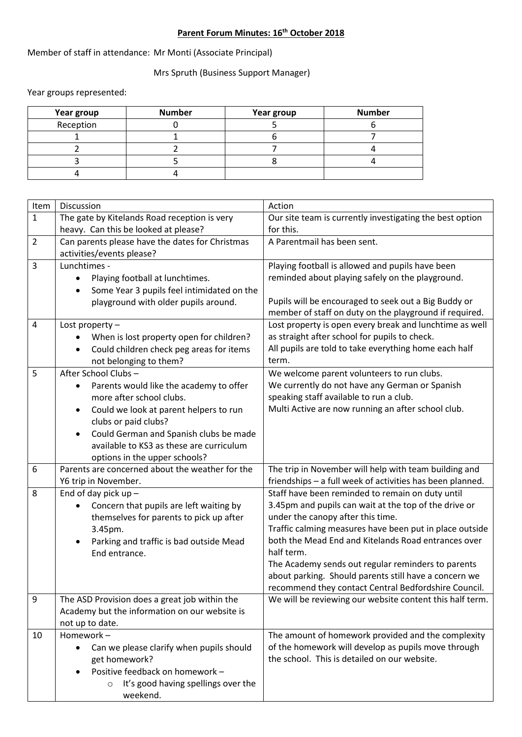## **Parent Forum Minutes: 16 th October 2018**

## Member of staff in attendance: Mr Monti (Associate Principal)

## Mrs Spruth (Business Support Manager)

Year groups represented:

| Year group | <b>Number</b> | Year group | <b>Number</b> |
|------------|---------------|------------|---------------|
| Reception  |               |            |               |
|            |               |            |               |
|            |               |            |               |
|            |               |            |               |
|            |               |            |               |

| Item           | Discussion                                                            | Action                                                                                                 |
|----------------|-----------------------------------------------------------------------|--------------------------------------------------------------------------------------------------------|
| $\mathbf{1}$   | The gate by Kitelands Road reception is very                          | Our site team is currently investigating the best option                                               |
|                | heavy. Can this be looked at please?                                  | for this.                                                                                              |
| $\overline{2}$ | Can parents please have the dates for Christmas                       | A Parentmail has been sent.                                                                            |
|                | activities/events please?                                             |                                                                                                        |
| $\overline{3}$ | Lunchtimes -                                                          | Playing football is allowed and pupils have been                                                       |
|                | Playing football at lunchtimes.                                       | reminded about playing safely on the playground.                                                       |
|                | Some Year 3 pupils feel intimidated on the                            |                                                                                                        |
|                | playground with older pupils around.                                  | Pupils will be encouraged to seek out a Big Buddy or                                                   |
|                |                                                                       | member of staff on duty on the playground if required.                                                 |
| $\overline{4}$ | Lost property -                                                       | Lost property is open every break and lunchtime as well                                                |
|                | When is lost property open for children?                              | as straight after school for pupils to check.<br>All pupils are told to take everything home each half |
|                | Could children check peg areas for items<br>$\bullet$                 | term.                                                                                                  |
| 5              | not belonging to them?<br>After School Clubs-                         | We welcome parent volunteers to run clubs.                                                             |
|                | Parents would like the academy to offer<br>٠                          | We currently do not have any German or Spanish                                                         |
|                | more after school clubs.                                              | speaking staff available to run a club.                                                                |
|                | Could we look at parent helpers to run<br>٠                           | Multi Active are now running an after school club.                                                     |
|                | clubs or paid clubs?                                                  |                                                                                                        |
|                | Could German and Spanish clubs be made<br>$\bullet$                   |                                                                                                        |
|                | available to KS3 as these are curriculum                              |                                                                                                        |
|                | options in the upper schools?                                         |                                                                                                        |
| 6              | Parents are concerned about the weather for the                       | The trip in November will help with team building and                                                  |
|                | Y6 trip in November.                                                  | friendships - a full week of activities has been planned.                                              |
| 8              | End of day pick $up -$                                                | Staff have been reminded to remain on duty until                                                       |
|                | Concern that pupils are left waiting by                               | 3.45pm and pupils can wait at the top of the drive or                                                  |
|                | themselves for parents to pick up after                               | under the canopy after this time.                                                                      |
|                | 3.45pm.                                                               | Traffic calming measures have been put in place outside                                                |
|                | Parking and traffic is bad outside Mead<br>$\bullet$<br>End entrance. | both the Mead End and Kitelands Road entrances over<br>half term.                                      |
|                |                                                                       | The Academy sends out regular reminders to parents                                                     |
|                |                                                                       | about parking. Should parents still have a concern we                                                  |
|                |                                                                       | recommend they contact Central Bedfordshire Council.                                                   |
| 9              | The ASD Provision does a great job within the                         | We will be reviewing our website content this half term.                                               |
|                | Academy but the information on our website is                         |                                                                                                        |
|                | not up to date.                                                       |                                                                                                        |
| 10             | Homework-                                                             | The amount of homework provided and the complexity                                                     |
|                | Can we please clarify when pupils should                              | of the homework will develop as pupils move through                                                    |
|                | get homework?                                                         | the school. This is detailed on our website.                                                           |
|                | Positive feedback on homework -                                       |                                                                                                        |
|                | It's good having spellings over the<br>$\circ$                        |                                                                                                        |
|                | weekend.                                                              |                                                                                                        |